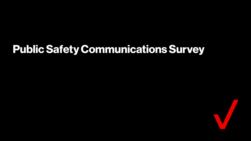### **Public Safety Communications Survey**

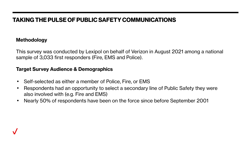#### **TAKING THE PULSE OF PUBLIC SAFETY COMMUNICATIONS**

#### **Methodology**

This survey was conducted by Lexipol on behalf of Verizon in August 2021 among a national sample of 3,033 first responders (Fire, EMS and Police).

#### **Target Survey Audience & Demographics**

- Self-selected as either a member of Police, Fire, or EMS
- Respondents had an opportunity to select a secondary line of Public Safety they were also involved with (e.g. Fire and EMS)
- Nearly 50% of respondents have been on the force since before September 2001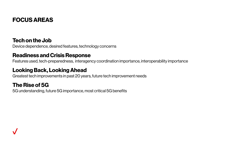### **FOCUS AREAS**

#### **Tech on the Job**

Device dependence, desired features, technology concerns

#### **Readiness and Crisis Response**

Features used, tech-preparedness, interagency coordination importance, interoperability importance

#### **Looking Back, Looking Ahead**

Greatest tech improvements in past 20 years, future tech improvement needs

#### **The Rise of 5G**

5G understanding, future 5G importance, most critical 5G benefits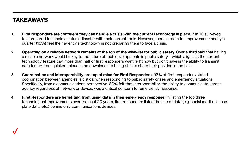#### **TAKEAWAYS**

- **1. First responders are confident they can handle a crisis with the current technology in place.** 7 in 10 surveyed feel prepared to handle a natural disaster with their current tools. However, there is room for improvement: nearly a quarter (18%) feel their agency's technology is not preparing them to face a crisis.
- **2. Operating on a reliable network remains at the top of the wish-list for public safety.** Over a third said that having a reliable network would be key to the future of tech developments in public safety – which aligns as the current technology feature that more than half of first responders want right now but don't have is the ability to transmit data faster: from quicker uploads and downloads to being able to share their position in the field.
- **3. Coordination and interoperability are top of mind for First Responders.** 93% of first responders stated coordination between agencies is critical when responding to public safety crises and emergency situations. Specifically, from a communications perspective, 80% felt that Interoperability, the ability to communicate across agency regardless of network or device, was a critical concern for emergency response.
- **4. First Responders are benefiting from using data in their emergency response:** In listing the top three technological improvements over the past 20 years, first responders listed the use of data (e.g. social media, license plate data, etc.) behind only communications devices.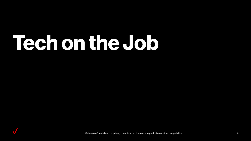# **Tech on the Job**

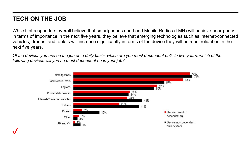#### **TECH ON THE JOB**

While first responders overall believe that smartphones and Land Mobile Radios (LMR) will achieve near-parity in terms of importance in the next five years, they believe that emerging technologies such as internet-connected vehicles, drones, and tablets will increase significantly in terms of the device they will be most reliant on in the next five years.

*Of the devices you use on the job on a daily basis, which are you most dependent on? In five years, which of the following devices will you be most dependent on in your job?*

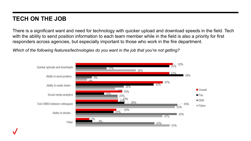#### **TECH ON THE JOB**

There is a significant want and need for technology with quicker upload and download speeds in the field. Tech with the ability to send position information to each team member while in the field is also a priority for first responders across agencies, but especially important to those who work in the fire department.

*Which of the following features/technologies do you want in the job that you're not getting?*

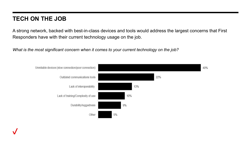#### **TECH ON THE JOB**

A strong network, backed with best-in-class devices and tools would address the largest concerns that First Responders have with their current technology usage on the job.

*What is the most significant concern when it comes to your current technology on the job?*

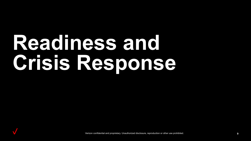# **Readiness and Crisis Response**

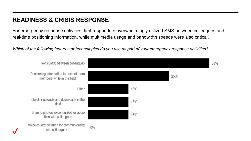### **READINESS & CRISIS RESPONSE**

For emergency response activities, first responders overwhelmingly utilized SMS between colleagues and real-time positioning information, while multimedia usage and bandwidth speeds were also critical.

*Which of the following features or technologies do you use as part of your emergency response activities?* 

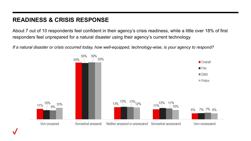### **READINESS & CRISIS RESPONSE**

About 7 out of 10 respondents feel confident in their agency's crisis readiness, while a little over 18% of first responders feel unprepared for a natural disaster using their agency's current technology.

*If a natural disaster or crisis occurred today, how well-equipped, technology-wise, is your agency to respond?*

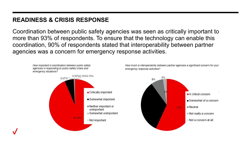#### **READINESS & CRISIS RESPONSE**

Coordination between public safety agencies was seen as critically important to more than 93% of respondents. To ensure that the technology can enable this coordination, 90% of respondents stated that interoperability between partner agencies was a concern for emergency response activities.

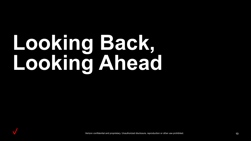# **Looking Back, Looking Ahead**

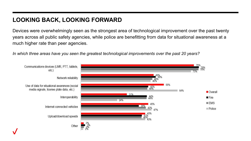### **LOOKING BACK, LOOKING FORWARD**

Devices were overwhelmingly seen as the strongest area of technological improvement over the past twenty years across all public safety agencies, while police are benefitting from data for situational awareness at a much higher rate than peer agencies.

*In which three areas have you seen the greatest technological improvements over the past 20 years?*

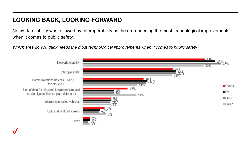### **LOOKING BACK, LOOKING FORWARD**

Network reliability was followed by Interoperability as the area needing the most technological improvements when it comes to public safety.

*Which area do you think needs the most technological improvements when it comes to public safety?*

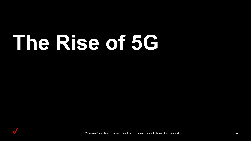# **The Rise of 5G**

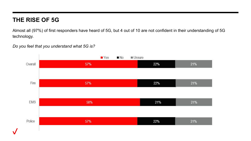#### **THE RISE OF 5G**

Almost all (97%) of first responders have heard of 5G, but 4 out of 10 are not confident in their understanding of 5G technology.

*Do you feel that you understand what 5G is?*

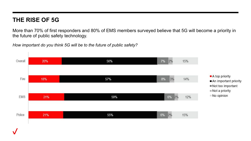#### **THE RISE OF 5G**

More than 70% of first responders and 80% of EMS members surveyed believe that 5G will become a priority in the future of public safety technology.

*How important do you think 5G will be to the future of public safety?*

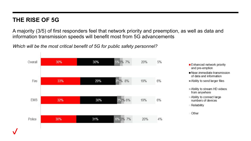#### **THE RISE OF 5G**

A majority (3/5) of first responders feel that network priority and preemption, as well as data and information transmission speeds will benefit most from 5G advancements

*Which will be the most critical benefit of 5G for public safety personnel?*



- Enhanced network priority and pre-emption
- Near-immediate transmission of data and information
- Ability to send larger files
- Ability to stream HD videos from anywhere
- Ability to connect large numbers of devices
- Reliability
- Other